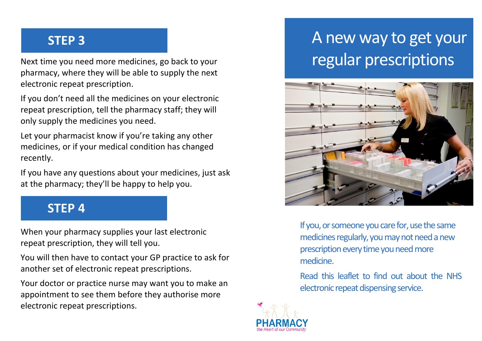## **STEP 3**

Next time you need more medicines, go back to your pharmacy, where they will be able to supply the next electronic repeat prescription.

If you don't need all the medicines on your electronic repeat prescription, tell the pharmacy staff; they will only supply the medicines you need.

Let your pharmacist know if you're taking any other medicines, or if your medical condition has changed recently.

If you have any questions about your medicines, just ask at the pharmacy; they'll be happy to help you.

#### **STEP 4**

When your pharmacy supplies your last electronic repeat prescription, they will tell you.

You will then have to contact your GP practice to ask for another set of electronic repeat prescriptions.

Your doctor or practice nurse may want you to make an appointment to see them before they authorise more electronic repeat prescriptions.

# A new way to get your regular prescriptions



If you, or someone you care for, use the same medicines regularly, you may not need a new prescription every time you need more medicine.

Read this leaflet to find out about the NHS electronic repeat dispensing service.